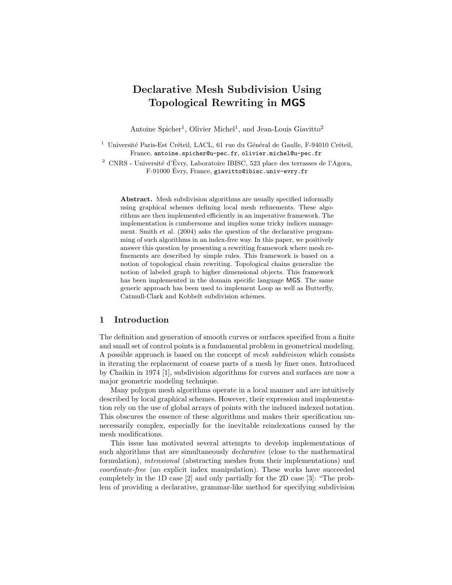# Declarative Mesh Subdivision Using Topological Rewriting in MGS

Antoine Spicher<sup>1</sup>, Olivier Michel<sup>1</sup>, and Jean-Louis Giavitto<sup>2</sup>

 $1$  Université Paris-Est Créteil, LACL, 61 rue du Général de Gaulle, F-94010 Créteil, France, antoine.spicher@u-pec.fr, olivier.michel@u-pec.fr

 $2$  CNRS - Université d'Évry, Laboratoire IBISC, 523 place des terrasses de l'Agora, F-91000 Évry, France, giavitto@ibisc.univ-evry.fr

Abstract. Mesh subdivision algorithms are usually specified informally using graphical schemes defining local mesh refinements. These algorithms are then implemented efficiently in an imperative framework. The implementation is cumbersome and implies some tricky indices management. Smith et al. (2004) asks the question of the declarative programming of such algorithms in an index-free way. In this paper, we positively answer this question by presenting a rewriting framework where mesh refinements are described by simple rules. This framework is based on a notion of topological chain rewriting. Topological chains generalize the notion of labeled graph to higher dimensional objects. This framework has been implemented in the domain specific language MGS. The same generic approach has been used to implement Loop as well as Butterfly, Catmull-Clark and Kobbelt subdivision schemes.

## 1 Introduction

The definition and generation of smooth curves or surfaces specified from a finite and small set of control points is a fundamental problem in geometrical modeling. A possible approach is based on the concept of mesh subdivision which consists in iterating the replacement of coarse parts of a mesh by finer ones. Introduced by Chaikin in 1974 [1], subdivision algorithms for curves and surfaces are now a major geometric modeling technique.

Many polygon mesh algorithms operate in a local manner and are intuitively described by local graphical schemes. However, their expression and implementation rely on the use of global arrays of points with the induced indexed notation. This obscures the essence of these algorithms and makes their specification unnecessarily complex, especially for the inevitable reindexations caused by the mesh modifications.

This issue has motivated several attempts to develop implementations of such algorithms that are simultaneously declarative (close to the mathematical formulation), intensional (abstracting meshes from their implementations) and coordinate-free (no explicit index manipulation). These works have succeeded completely in the 1D case [2] and only partially for the 2D case [3]: "The problem of providing a declarative, grammar-like method for specifying subdivision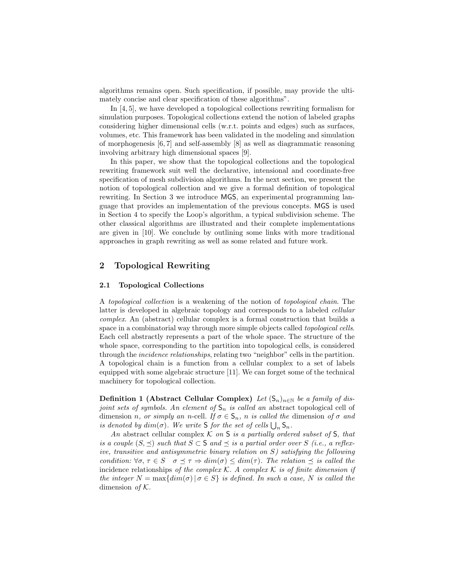algorithms remains open. Such specification, if possible, may provide the ultimately concise and clear specification of these algorithms".

In [4, 5], we have developed a topological collections rewriting formalism for simulation purposes. Topological collections extend the notion of labeled graphs considering higher dimensional cells (w.r.t. points and edges) such as surfaces, volumes, etc. This framework has been validated in the modeling and simulation of morphogenesis [6, 7] and self-assembly [8] as well as diagrammatic reasoning involving arbitrary high dimensional spaces [9].

In this paper, we show that the topological collections and the topological rewriting framework suit well the declarative, intensional and coordinate-free specification of mesh subdivision algorithms. In the next section, we present the notion of topological collection and we give a formal definition of topological rewriting. In Section 3 we introduce MGS, an experimental programming language that provides an implementation of the previous concepts. MGS is used in Section 4 to specify the Loop's algorithm, a typical subdivision scheme. The other classical algorithms are illustrated and their complete implementations are given in [10]. We conclude by outlining some links with more traditional approaches in graph rewriting as well as some related and future work.

## 2 Topological Rewriting

#### 2.1 Topological Collections

A topological collection is a weakening of the notion of topological chain. The latter is developed in algebraic topology and corresponds to a labeled cellular complex. An (abstract) cellular complex is a formal construction that builds a space in a combinatorial way through more simple objects called *topological cells*. Each cell abstractly represents a part of the whole space. The structure of the whole space, corresponding to the partition into topological cells, is considered through the incidence relationships, relating two "neighbor" cells in the partition. A topological chain is a function from a cellular complex to a set of labels equipped with some algebraic structure [11]. We can forget some of the technical machinery for topological collection.

Definition 1 (Abstract Cellular Complex) Let  $(S_n)_{n\in\mathbb{N}}$  be a family of disjoint sets of symbols. An element of  $S_n$  is called an abstract topological cell of dimension n, or simply an n-cell. If  $\sigma \in \mathsf{S}_n$ , n is called the dimension of  $\sigma$  and is denoted by  $dim(\sigma)$ . We write S for the set of cells  $\bigcup_n \mathsf{S}_n$ .

An abstract cellular complex  $K$  on S is a partially ordered subset of S, that is a couple  $(S, \preceq)$  such that  $S \subset S$  and  $\preceq$  is a partial order over S (i.e., a reflexive, transitive and antisymmetric binary relation on  $S$ ) satisfying the following condition:  $\forall \sigma, \tau \in S \quad \sigma \preceq \tau \Rightarrow dim(\sigma) \leq dim(\tau)$ . The relation  $\preceq$  is called the incidence relationships of the complex K. A complex K is of finite dimension if the integer  $N = \max\{dim(\sigma) | \sigma \in S\}$  is defined. In such a case, N is called the dimension of  $K$ .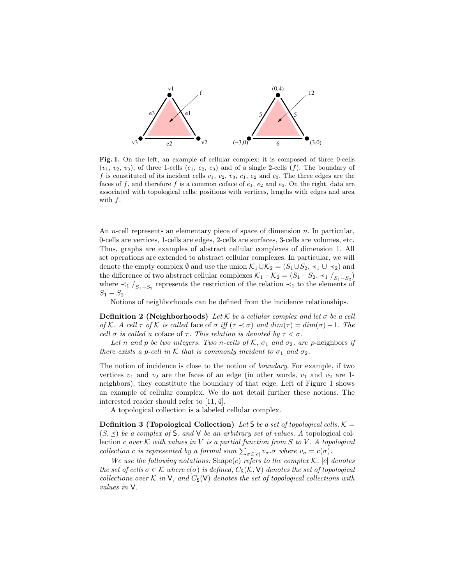

Fig. 1. On the left, an example of cellular complex: it is composed of three 0-cells  $(v_1, v_2, v_3)$ , of three 1-cells  $(e_1, e_2, e_3)$  and of a single 2-cells  $(f)$ . The boundary of f is constituted of its incident cells  $v_1, v_2, v_3, e_1, e_2$  and  $e_3$ . The three edges are the faces of f, and therefore f is a common coface of  $e_1, e_2$  and  $e_3$ . On the right, data are associated with topological cells: positions with vertices, lengths with edges and area with f.

An *n*-cell represents an elementary piece of space of dimension  $n$ . In particular, 0-cells are vertices, 1-cells are edges, 2-cells are surfaces, 3-cells are volumes, etc. Thus, graphs are examples of abstract cellular complexes of dimension 1. All set operations are extended to abstract cellular complexes. In particular, we will denote the empty complex  $\emptyset$  and use the union  $\mathcal{K}_1 \cup \mathcal{K}_2 = (S_1 \cup S_2, \prec_1 \cup \prec_2)$  and the difference of two abstract cellular complexes  $\mathcal{K}_1 - \mathcal{K}_2 = (S_1 - S_2, \prec_1 /_{S_1 - S_2})$ where  $\prec_1$  /<sub>S<sub>1</sub>-S<sub>2</sub> represents the restriction of the relation  $\prec_1$  to the elements of</sub>  $S_1 - S_2$ .

Notions of neighborhoods can be defined from the incidence relationships.

**Definition 2 (Neighborhoods)** Let K be a cellular complex and let  $\sigma$  be a cell of K. A cell  $\tau$  of K is called face of  $\sigma$  iff  $(\tau \prec \sigma)$  and  $dim(\tau) = dim(\sigma) - 1$ . The cell  $\sigma$  is called a coface of  $\tau$ . This relation is denoted by  $\tau < \sigma$ .

Let n and p be two integers. Two n-cells of K,  $\sigma_1$  and  $\sigma_2$ , are p-neighbors if there exists a p-cell in K that is commonly incident to  $\sigma_1$  and  $\sigma_2$ .

The notion of incidence is close to the notion of boundary. For example, if two vertices  $v_1$  and  $v_2$  are the faces of an edge (in other words,  $v_1$  and  $v_2$  are 1neighbors), they constitute the boundary of that edge. Left of Figure 1 shows an example of cellular complex. We do not detail further these notions. The interested reader should refer to [11, 4].

A topological collection is a labeled cellular complex.

**Definition 3 (Topological Collection)** Let S be a set of topological cells,  $K =$  $(S, \preceq)$  be a complex of S, and V be an arbitrary set of values. A topological collection c over  $K$  with values in V is a partial function from S to V. A topological collection c is represented by a formal sum  $\sum_{\sigma \in |c|} v_{\sigma} \sigma$  where  $v_{\sigma} = c(\sigma)$ .

We use the following notations: Shape(c) refers to the complex  $\mathcal{K}$ ,  $|c|$  denotes the set of cells  $\sigma \in \mathcal{K}$  where  $c(\sigma)$  is defined,  $C_{\mathsf{S}}(\mathcal{K},\mathsf{V})$  denotes the set of topological collections over K in V, and  $C_5(V)$  denotes the set of topological collections with values in V.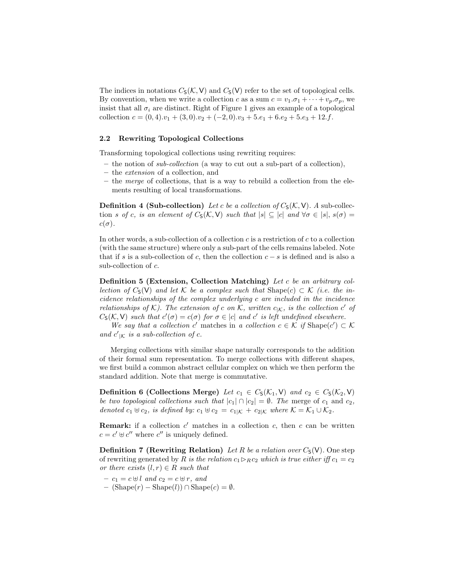The indices in notations  $C_{\mathsf{S}}(\mathcal{K}, \mathsf{V})$  and  $C_{\mathsf{S}}(\mathsf{V})$  refer to the set of topological cells. By convention, when we write a collection c as a sum  $c = v_1 \cdot \sigma_1 + \cdots + v_p \cdot \sigma_p$ , we insist that all  $\sigma_i$  are distinct. Right of Figure 1 gives an example of a topological collection  $c = (0, 4) \cdot v_1 + (3, 0) \cdot v_2 + (-2, 0) \cdot v_3 + 5 \cdot e_1 + 6 \cdot e_2 + 5 \cdot e_3 + 12 \cdot f.$ 

## 2.2 Rewriting Topological Collections

Transforming topological collections using rewriting requires:

- the notion of *sub-collection* (a way to cut out a sub-part of a collection),
- the extension of a collection, and
- the merge of collections, that is a way to rebuild a collection from the elements resulting of local transformations.

**Definition 4 (Sub-collection)** Let c be a collection of  $C_5(\mathcal{K}, V)$ . A sub-collection s of c, is an element of  $C_{\mathsf{S}}(\mathcal{K}, \mathsf{V})$  such that  $|s| \subseteq |c|$  and  $\forall \sigma \in |s|$ ,  $s(\sigma) =$  $c(\sigma)$ .

In other words, a sub-collection of a collection  $c$  is a restriction of  $c$  to a collection (with the same structure) where only a sub-part of the cells remains labeled. Note that if s is a sub-collection of c, then the collection  $c - s$  is defined and is also a sub-collection of c.

Definition 5 (Extension, Collection Matching) Let c be an arbitrary collection of  $C_{\mathsf{S}}(\mathsf{V})$  and let K be a complex such that  $\text{Shape}(c) \subset \mathcal{K}$  (i.e. the incidence relationships of the complex underlying c are included in the incidence relationships of K). The extension of c on K, written  $c_{\vert K}$ , is the collection c' of  $C_{\mathsf{S}}(\mathcal{K},\mathsf{V})$  such that  $c'(\sigma) = c(\sigma)$  for  $\sigma \in |c|$  and  $c'$  is left undefined elsewhere.

We say that a collection c' matches in a collection  $c \in \mathcal{K}$  if  $\text{Shape}(c') \subset \mathcal{K}$ and  $c'_{\vert K}$  is a sub-collection of c.

Merging collections with similar shape naturally corresponds to the addition of their formal sum representation. To merge collections with different shapes, we first build a common abstract cellular complex on which we then perform the standard addition. Note that merge is commutative.

**Definition 6 (Collections Merge)** Let  $c_1 \in C_S(\mathcal{K}_1, V)$  and  $c_2 \in C_S(\mathcal{K}_2, V)$ be two topological collections such that  $|c_1| \cap |c_2| = \emptyset$ . The merge of  $c_1$  and  $c_2$ , denoted  $c_1 \oplus c_2$ , is defined by:  $c_1 \oplus c_2 = c_{1|K} + c_{2|K}$  where  $K = \mathcal{K}_1 \cup \mathcal{K}_2$ .

**Remark:** if a collection  $c'$  matches in a collection  $c$ , then  $c$  can be written  $c = c' \oplus c''$  where  $c''$  is uniquely defined.

**Definition 7 (Rewriting Relation)** Let R be a relation over  $C_S(V)$ . One step of rewriting generated by R is the relation  $c_1 \triangleright_R c_2$  which is true either iff  $c_1 = c_2$ or there exists  $(l, r) \in R$  such that

- $-c_1 = c \boxplus l$  and  $c_2 = c \boxplus r$ , and
- (Shape(r) − Shape(l)) ∩ Shape(c) = ∅.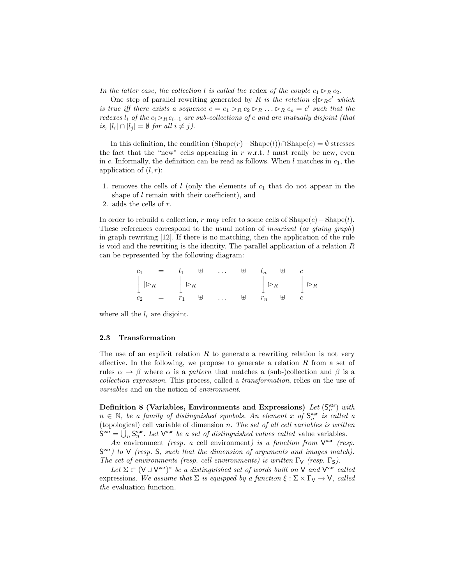In the latter case, the collection l is called the redex of the couple  $c_1 \rhd_R c_2$ .

One step of parallel rewriting generated by R is the relation  $c|_{B}R$  which is true iff there exists a sequence  $c = c_1 \triangleright_R c_2 \triangleright_R \ldots \triangleright_R c_p = c'$  such that the redexes  $l_i$  of the  $c_i\triangleright_R c_{i+1}$  are sub-collections of c and are mutually disjoint (that is,  $|l_i| \cap |l_j| = \emptyset$  for all  $i \neq j$ .

In this definition, the condition  $(\text{Shape}(r) - \text{Shape}(l)) \cap \text{Shape}(c) = \emptyset$  stresses the fact that the "new" cells appearing in  $r$  w.r.t.  $l$  must really be new, even in c. Informally, the definition can be read as follows. When l matches in  $c_1$ , the application of  $(l, r)$ :

- 1. removes the cells of  $l$  (only the elements of  $c_1$  that do not appear in the shape of  $l$  remain with their coefficient), and
- 2. adds the cells of r.

In order to rebuild a collection, r may refer to some cells of  $\text{Shape}(c) - \text{Shape}(l)$ . These references correspond to the usual notion of *invariant* (or *gluing graph*) in graph rewriting [12]. If there is no matching, then the application of the rule is void and the rewriting is the identity. The parallel application of a relation  $R$ can be represented by the following diagram:

$$
\begin{array}{ccccccc}\nc_1 & = & l_1 & \uplus & \dots & \uplus & l_n & \uplus & c \\
\downarrow & \uplus & & \downarrow & \triangleright & & \downarrow & \triangleright & c \\
c_2 & = & r_1 & \uplus & \dots & \uplus & r_n & \uplus & c\n\end{array}
$$

where all the  $l_i$  are disjoint.

#### 2.3 Transformation

The use of an explicit relation  $R$  to generate a rewriting relation is not very effective. In the following, we propose to generate a relation  $R$  from a set of rules  $\alpha \to \beta$  where  $\alpha$  is a pattern that matches a (sub-)collection and  $\beta$  is a collection expression. This process, called a transformation, relies on the use of variables and on the notion of environment.

Definition 8 (Variables, Environments and Expressions) Let  $(S_n^{var})$  with  $n \in \mathbb{N}$ , be a family of distinguished symbols. An element x of  $S_n^{\text{var}}$  is called a (topological) cell variable of dimension  $n$ . The set of all cell variables is written  $S<sup>var</sup> = \bigcup_n S_n<sup>var</sup>$ . Let  $V<sup>var</sup>$  be a set of distinguished values called value variables.

An environment (resp.  $a$  cell environment) is a function from  $V^{var}$  (resp.  $S<sup>var</sup>$ ) to V (resp. S, such that the dimension of arguments and images match). The set of environments (resp. cell environments) is written  $\Gamma_{\mathsf{V}}$  (resp.  $\Gamma_{\mathsf{S}}$ ).

Let  $\Sigma \subset (\mathsf{V} \cup \mathsf{V}^{\text{var}})^*$  be a distinguished set of words built on  $\mathsf{V}$  and  $\mathsf{V}^{\text{var}}$  called expressions. We assume that  $\Sigma$  is equipped by a function  $\xi : \Sigma \times \Gamma_V \to V$ , called the evaluation function.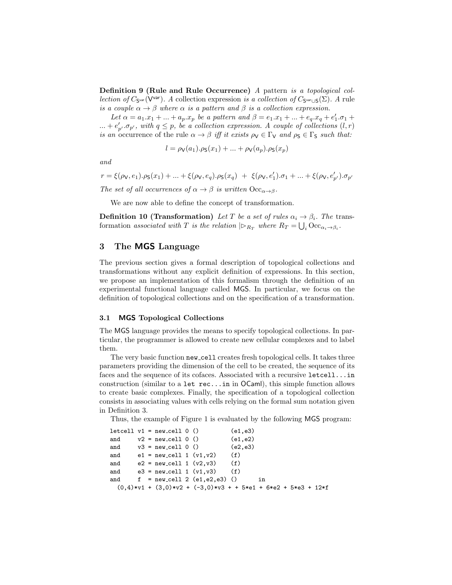Definition 9 (Rule and Rule Occurrence) A pattern is a topological collection of  $C_{S^{var}}(V^{var})$ . A collection expression is a collection of  $C_{S^{var}\cup S}(\Sigma)$ . A rule is a couple  $\alpha \to \beta$  where  $\alpha$  is a pattern and  $\beta$  is a collection expression.

Let  $\alpha = a_1.x_1 + ... + a_p.x_p$  be a pattern and  $\beta = e_1.x_1 + ... + e_q.x_q + e'_1.\sigma_1 + ...$  $\dots + e'_{p'} \sigma_{p'}$ , with  $q \leq p$ , be a collection expression. A couple of collections  $(l, r)$ is an occurrence of the rule  $\alpha \to \beta$  iff it exists  $\rho_{\mathsf{V}} \in \Gamma_{\mathsf{V}}$  and  $\rho_{\mathsf{S}} \in \Gamma_{\mathsf{S}}$  such that:

$$
l = \rho_{\mathsf{V}}(a_1) \cdot \rho_{\mathsf{S}}(x_1) + \dots + \rho_{\mathsf{V}}(a_p) \cdot \rho_{\mathsf{S}}(x_p)
$$

$$
and
$$

$$
r = \xi(\rho_{\mathsf{V}}, e_1) \cdot \rho_{\mathsf{S}}(x_1) + \ldots + \xi(\rho_{\mathsf{V}}, e_q) \cdot \rho_{\mathsf{S}}(x_q) + \xi(\rho_{\mathsf{V}}, e'_1) \cdot \sigma_1 + \ldots + \xi(\rho_{\mathsf{V}}, e'_{p'}) \cdot \sigma_{p'}
$$

The set of all occurrences of  $\alpha \to \beta$  is written  $\mathrm{Occ}_{\alpha \to \beta}$ .

We are now able to define the concept of transformation.

**Definition 10 (Transformation)** Let T be a set of rules  $\alpha_i \rightarrow \beta_i$ . The transformation associated with T is the relation  $|\rhd_{R_T}$  where  $R_T = \bigcup_i \text{Occ}_{\alpha_i \to \beta_i}$ .

## 3 The MGS Language

The previous section gives a formal description of topological collections and transformations without any explicit definition of expressions. In this section, we propose an implementation of this formalism through the definition of an experimental functional language called MGS. In particular, we focus on the definition of topological collections and on the specification of a transformation.

#### 3.1 MGS Topological Collections

The MGS language provides the means to specify topological collections. In particular, the programmer is allowed to create new cellular complexes and to label them.

The very basic function new cell creates fresh topological cells. It takes three parameters providing the dimension of the cell to be created, the sequence of its faces and the sequence of its cofaces. Associated with a recursive letcell...in construction (similar to a let rec...in in OCaml), this simple function allows to create basic complexes. Finally, the specification of a topological collection consists in associating values with cells relying on the formal sum notation given in Definition 3.

Thus, the example of Figure 1 is evaluated by the following MGS program:

```
letcell v1 = new-cell 0 () (e1,e3)
and v2 = new_{cell} 0 () (e1,e2)
and v3 = new-cell 0 () (e2,e3)
and e1 = new_{cell} 1 (v1, v2) (f)
and e2 = new_{cell} 1 (v2, v3) (f)
and e3 = new_{cell} 1 (v1, v3) (f)
and f = new-cell 2 (e1, e2, e3) () in
 (0,4)*v1 + (3,0)*v2 + (-3,0)*v3 + + 5*e1 + 6*e2 + 5*e3 + 12*f
```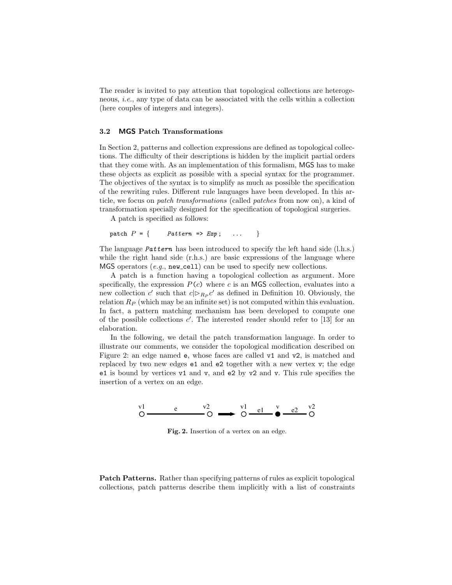The reader is invited to pay attention that topological collections are heterogeneous, i.e., any type of data can be associated with the cells within a collection (here couples of integers and integers).

#### 3.2 MGS Patch Transformations

In Section 2, patterns and collection expressions are defined as topological collections. The difficulty of their descriptions is hidden by the implicit partial orders that they come with. As an implementation of this formalism, MGS has to make these objects as explicit as possible with a special syntax for the programmer. The objectives of the syntax is to simplify as much as possible the specification of the rewriting rules. Different rule languages have been developed. In this article, we focus on patch transformations (called patches from now on), a kind of transformation specially designed for the specification of topological surgeries.

A patch is specified as follows:

patch  $P = \{$  Pattern => Exp; ... }

The language *Pattern* has been introduced to specify the left hand side  $(l.h.s.)$ while the right hand side (r.h.s.) are basic expressions of the language where MGS operators  $(e.g., new-cell)$  can be used to specify new collections.

A patch is a function having a topological collection as argument. More specifically, the expression  $P(c)$  where c is an MGS collection, evaluates into a new collection  $c'$  such that  $c|_{B_P}c'$  as defined in Definition 10. Obviously, the relation  $R_P$  (which may be an infinite set) is not computed within this evaluation. In fact, a pattern matching mechanism has been developed to compute one of the possible collections  $c'$ . The interested reader should refer to [13] for an elaboration.

In the following, we detail the patch transformation language. In order to illustrate our comments, we consider the topological modification described on Figure 2: an edge named e, whose faces are called v1 and v2, is matched and replaced by two new edges e1 and e2 together with a new vertex v; the edge e1 is bound by vertices v1 and v, and e2 by v2 and v. This rule specifies the insertion of a vertex on an edge.



Fig. 2. Insertion of a vertex on an edge.

Patch Patterns. Rather than specifying patterns of rules as explicit topological collections, patch patterns describe them implicitly with a list of constraints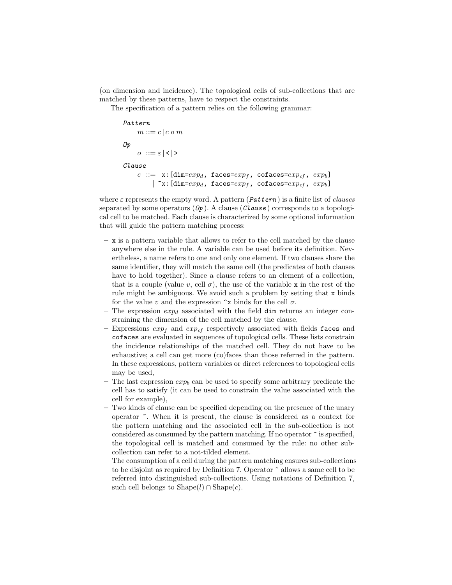(on dimension and incidence). The topological cells of sub-collections that are matched by these patterns, have to respect the constraints.

The specification of a pattern relies on the following grammar:

```
Pattern
     m ::= c | c o mOp
     o := \varepsilon | < | >
Clause
     c ::= x: [\texttt{dim}=exp_d, \texttt{faces}=exp_f, \texttt{cofaces}=exp_c, exp_b]| x:[dim=exp_d, faces=exp_f, cofaces=exp_{cf}, exp_b]
```
where  $\varepsilon$  represents the empty word. A pattern (*Pattern*) is a finite list of *clauses* separated by some operators  $(\mathcal{D}\mathbf{p})$ . A clause (*Clause*) corresponds to a topological cell to be matched. Each clause is characterized by some optional information that will guide the pattern matching process:

- x is a pattern variable that allows to refer to the cell matched by the clause anywhere else in the rule. A variable can be used before its definition. Nevertheless, a name refers to one and only one element. If two clauses share the same identifier, they will match the same cell (the predicates of both clauses have to hold together). Since a clause refers to an element of a collection, that is a couple (value v, cell  $\sigma$ ), the use of the variable x in the rest of the rule might be ambiguous. We avoid such a problem by setting that x binds for the value v and the expression  $\hat{r}$  binds for the cell  $\sigma$ .
- The expression  $exp<sub>d</sub>$  associated with the field dim returns an integer constraining the dimension of the cell matched by the clause,
- Expressions  $exp_f$  and  $exp_{cf}$  respectively associated with fields faces and cofaces are evaluated in sequences of topological cells. These lists constrain the incidence relationships of the matched cell. They do not have to be exhaustive; a cell can get more (co)faces than those referred in the pattern. In these expressions, pattern variables or direct references to topological cells may be used,
- The last expression  $exp<sub>b</sub>$  can be used to specify some arbitrary predicate the cell has to satisfy (it can be used to constrain the value associated with the cell for example),
- Two kinds of clause can be specified depending on the presence of the unary operator ~. When it is present, the clause is considered as a context for the pattern matching and the associated cell in the sub-collection is not considered as consumed by the pattern matching. If no operator ~ is specified, the topological cell is matched and consumed by the rule: no other subcollection can refer to a not-tilded element.

The consumption of a cell during the pattern matching ensures sub-collections to be disjoint as required by Definition 7. Operator ~ allows a same cell to be referred into distinguished sub-collections. Using notations of Definition 7, such cell belongs to Shape(l) ∩ Shape(c).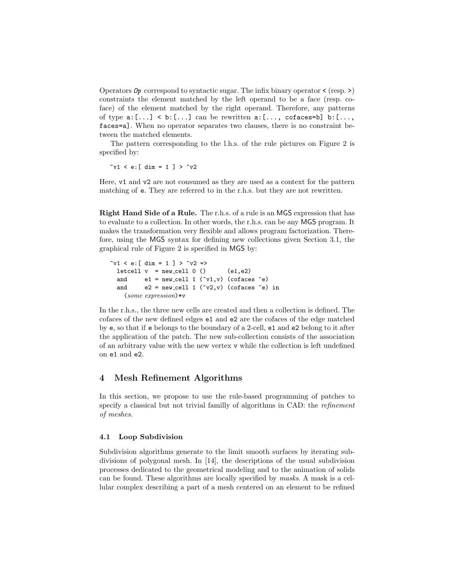Operators  $\mathcal{O}_p$  correspond to syntactic sugar. The infix binary operator  $\langle$  (resp.  $\rangle$ ) constraints the element matched by the left operand to be a face (resp. coface) of the element matched by the right operand. Therefore, any patterns of type  $a:$  [...]  $\leq b:$  [...] can be rewritten  $a:$  [..., cofaces=b] b: [..., faces=a]. When no operator separates two clauses, there is no constraint between the matched elements.

The pattern corresponding to the l.h.s. of the rule pictures on Figure 2 is specified by:

 $\tilde{v}$  < e: [ dim = 1 ] >  $\tilde{v}$ 

Here, v1 and v2 are not consumed as they are used as a context for the pattern matching of e. They are referred to in the r.h.s. but they are not rewritten.

Right Hand Side of a Rule. The r.h.s. of a rule is an MGS expression that has to evaluate to a collection. In other words, the r.h.s. can be any MGS program. It makes the transformation very flexible and allows program factorization. Therefore, using the MGS syntax for defining new collections given Section 3.1, the graphical rule of Figure 2 is specified in MGS by:

```
\tilde{v}v1 < e: [ dim = 1 ] > \tilde{v}v2 =>
  letcell v = new-cell 0 () (e1,e2)
  and e1 = new_{cell} 1 (^v1, v) (cofaces ^e)and e2 = new-cell 1 (°v2,v) (cofaces <math>^{\circ}e</math>) in(some expression)*v
```
In the r.h.s., the three new cells are created and then a collection is defined. The cofaces of the new defined edges e1 and e2 are the cofaces of the edge matched by e, so that if e belongs to the boundary of a 2-cell, e1 and e2 belong to it after the application of the patch. The new sub-collection consists of the association of an arbitrary value with the new vertex v while the collection is left undefined on e1 and e2.

## 4 Mesh Refinement Algorithms

In this section, we propose to use the rule-based programming of patches to specify a classical but not trivial familly of algorithms in CAD: the *refinement* of meshes.

#### 4.1 Loop Subdivision

Subdivision algorithms generate to the limit smooth surfaces by iterating subdivisions of polygonal mesh. In [14], the descriptions of the usual subdivision processes dedicated to the geometrical modeling and to the animation of solids can be found. These algorithms are locally specified by masks. A mask is a cellular complex describing a part of a mesh centered on an element to be refined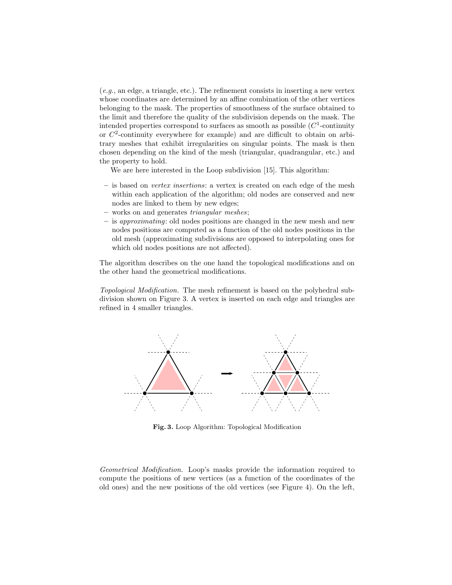$(e.g., an edge, a triangle, etc.).$  The refinement consists in inserting a new vertex whose coordinates are determined by an affine combination of the other vertices belonging to the mask. The properties of smoothness of the surface obtained to the limit and therefore the quality of the subdivision depends on the mask. The intended properties correspond to surfaces as smooth as possible  $(C<sup>1</sup>$ -continuity or  $C^2$ -continuity everywhere for example) and are difficult to obtain on arbitrary meshes that exhibit irregularities on singular points. The mask is then chosen depending on the kind of the mesh (triangular, quadrangular, etc.) and the property to hold.

We are here interested in the Loop subdivision [15]. This algorithm:

- is based on vertex insertions: a vertex is created on each edge of the mesh within each application of the algorithm; old nodes are conserved and new nodes are linked to them by new edges;
- works on and generates triangular meshes;
- is approximating: old nodes positions are changed in the new mesh and new nodes positions are computed as a function of the old nodes positions in the old mesh (approximating subdivisions are opposed to interpolating ones for which old nodes positions are not affected).

The algorithm describes on the one hand the topological modifications and on the other hand the geometrical modifications.

Topological Modification. The mesh refinement is based on the polyhedral subdivision shown on Figure 3. A vertex is inserted on each edge and triangles are refined in 4 smaller triangles.



Fig. 3. Loop Algorithm: Topological Modification

Geometrical Modification. Loop's masks provide the information required to compute the positions of new vertices (as a function of the coordinates of the old ones) and the new positions of the old vertices (see Figure 4). On the left,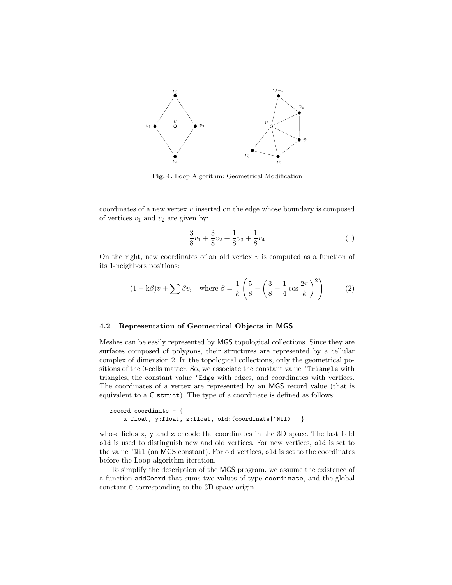

Fig. 4. Loop Algorithm: Geometrical Modification

coordinates of a new vertex  $v$  inserted on the edge whose boundary is composed of vertices  $v_1$  and  $v_2$  are given by:

$$
\frac{3}{8}v_1 + \frac{3}{8}v_2 + \frac{1}{8}v_3 + \frac{1}{8}v_4\tag{1}
$$

On the right, new coordinates of an old vertex  $v$  is computed as a function of its 1-neighbors positions:

$$
(1 - k\beta)v + \sum \beta v_i \quad \text{where } \beta = \frac{1}{k} \left( \frac{5}{8} - \left( \frac{3}{8} + \frac{1}{4} \cos \frac{2\pi}{k} \right)^2 \right) \tag{2}
$$

## 4.2 Representation of Geometrical Objects in MGS

Meshes can be easily represented by MGS topological collections. Since they are surfaces composed of polygons, their structures are represented by a cellular complex of dimension 2. In the topological collections, only the geometrical positions of the 0-cells matter. So, we associate the constant value 'Triangle with triangles, the constant value 'Edge with edges, and coordinates with vertices. The coordinates of a vertex are represented by an MGS record value (that is equivalent to a C struct). The type of a coordinate is defined as follows:

```
record coordinate = \{x:float, y:float, z:float, old:(coordinate|'Nil) }
```
whose fields x, y and z encode the coordinates in the 3D space. The last field old is used to distinguish new and old vertices. For new vertices, old is set to the value 'Nil (an MGS constant). For old vertices, old is set to the coordinates before the Loop algorithm iteration.

To simplify the description of the MGS program, we assume the existence of a function addCoord that sums two values of type coordinate, and the global constant O corresponding to the 3D space origin.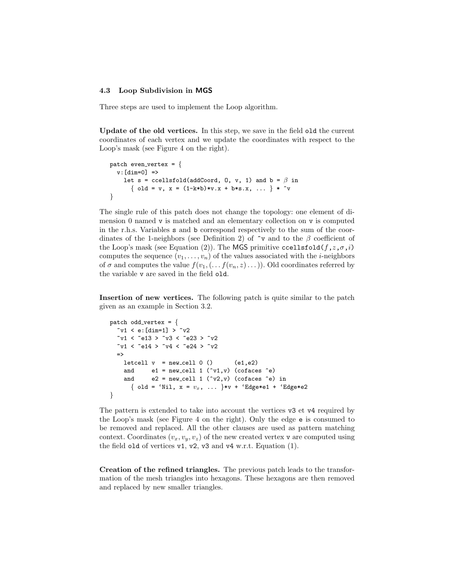#### 4.3 Loop Subdivision in MGS

Three steps are used to implement the Loop algorithm.

Update of the old vertices. In this step, we save in the field old the current coordinates of each vertex and we update the coordinates with respect to the Loop's mask (see Figure 4 on the right).

```
patch even_vertex = \{v:[dim=0] =>
    let s = ccellsfold(addCoord, 0, v, 1) and b = \beta in
      \{ old = v, x = (1-k*b)*v.x + b*s.x, ... \} * ^v v}
```
The single rule of this patch does not change the topology: one element of dimension 0 named v is matched and an elementary collection on v is computed in the r.h.s. Variables s and b correspond respectively to the sum of the coordinates of the 1-neighbors (see Definition 2) of  $\gamma$  and to the β coefficient of the Loop's mask (see Equation (2)). The MGS primitive ccellsfold( $f, z, \sigma, i$ ) computes the sequence  $(v_1, \ldots, v_n)$  of the values associated with the *i*-neighbors of  $\sigma$  and computes the value  $f(v_1,(\ldots f(v_n,z)\ldots))$ . Old coordinates referred by the variable v are saved in the field old.

Insertion of new vertices. The following patch is quite similar to the patch given as an example in Section 3.2.

```
patch odd_vertex = \{\tilde{v} < e: [dim=1] > \tilde{v}\sqrt{x}v1 < \sqrt{x}e13 > \sqrt{x}v3 < \sqrt{x}e23 > \sqrt{x}v2
  ~v1 < ~e14 > ~v4 < ~e24 > ~v2
  =>
     letcell v = new-cell 0 () (e1,e2)
     and e1 = new_{cell} 1 (^v1, v) (cofaces ^e)and e2 = new-cell 1 (°v2,v) (cofaces <math>^{\circ}e</math>) in{ old = 'Nil, x = v_x, ... }*v + 'Edge*e1 + 'Edge*e2
}
```
The pattern is extended to take into account the vertices v3 et v4 required by the Loop's mask (see Figure 4 on the right). Only the edge e is consumed to be removed and replaced. All the other clauses are used as pattern matching context. Coordinates  $(v_x, v_y, v_z)$  of the new created vertex v are computed using the field old of vertices v1, v2, v3 and v4 w.r.t. Equation (1).

Creation of the refined triangles. The previous patch leads to the transformation of the mesh triangles into hexagons. These hexagons are then removed and replaced by new smaller triangles.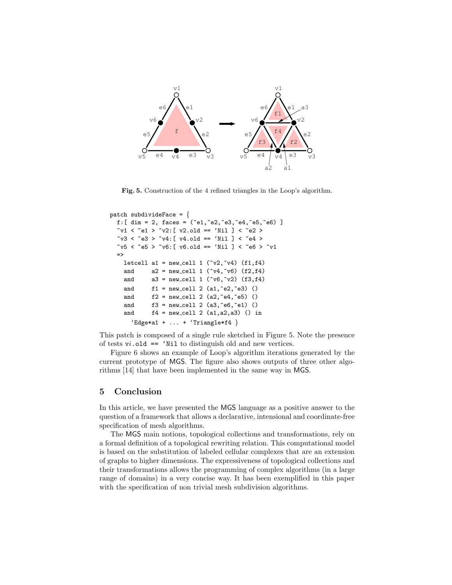

Fig. 5. Construction of the 4 refined triangles in the Loop's algorithm.

```
patch subdivideFace = \{f: \left[ \text{ dim } = 2, \text{ faces } = (\text{`e1}, \text{`e2}, \text{`e3}, \text{`e4}, \text{`e5}, \text{`e6}) \right]\sqrt{x_1} < \sqrt{x_2} > \sqrt{x_2} \sqrt{x_1} \sqrt{x_2} \sqrt{x_1} \sqrt{x_2} \sqrt{x_1} \sqrt{x_2} \sqrt{x_2} \sqrt{x_1} \sqrt{x_2} \sqrt{x_1} \sqrt{x_2} \sqrt{x_1} \sqrt{x_2} \sqrt{x_1} \sqrt{x_2} \sqrt{x_1} \sqrt{x_2} \sqrt{x_1} \sqrt{x_2} \sqrt{x_1} \sqrt{x_2} \sim v3 < \sim e3 > \sim v4: [ v4.old == 'Nil ] < \sim e4 >\sqrt{v}5 < \sqrt{e} > \sqrt{v} v6: [ v6.old == 'Nil ] < \sqrt{e} e6 > \sqrt{v}1
   \Rightarrowletcell a1 = new_cell 1 (\gamma_2, \gamma_4) (f1,f4)
       and a2 = new-cell 1 ('v4,'v6) (f2,f4)and a3 = new_{cell} 1 (\hat{v}6, \hat{v}2) (f3, f4)and f1 = new-cell 2 (a1, ^e2, ^e3) ()
       and f2 = new_{cell} 2 (a2, ^e4, ^e5) ()
       and f3 = new_{cell} 2 (a3, \text{`e}6, \text{`e}1) ()
       and f4 = new-cell 2 (a1, a2, a3) () in
           'Edge*a1 + \dots + 'Triangle*f4 }
```
This patch is composed of a single rule sketched in Figure 5. Note the presence of tests  $vi.$  old  $==$  'Nil to distinguish old and new vertices.

Figure 6 shows an example of Loop's algorithm iterations generated by the current prototype of MGS. The figure also shows outputs of three other algorithms [14] that have been implemented in the same way in MGS.

## 5 Conclusion

In this article, we have presented the MGS language as a positive answer to the question of a framework that allows a declarative, intensional and coordinate-free specification of mesh algorithms.

The MGS main notions, topological collections and transformations, rely on a formal definition of a topological rewriting relation. This computational model is based on the substitution of labeled cellular complexes that are an extension of graphs to higher dimensions. The expressiveness of topological collections and their transformations allows the programming of complex algorithms (in a large range of domains) in a very concise way. It has been exemplified in this paper with the specification of non trivial mesh subdivision algorithms.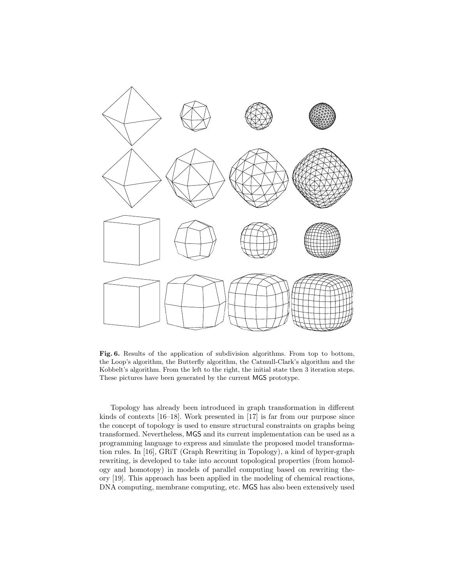

Fig. 6. Results of the application of subdivision algorithms. From top to bottom, the Loop's algorithm, the Butterfly algorithm, the Catmull-Clark's algorithm and the Kobbelt's algorithm. From the left to the right, the initial state then 3 iteration steps. These pictures have been generated by the current MGS prototype.

Topology has already been introduced in graph transformation in different kinds of contexts [16–18]. Work presented in [17] is far from our purpose since the concept of topology is used to ensure structural constraints on graphs being transformed. Nevertheless, MGS and its current implementation can be used as a programming language to express and simulate the proposed model transformation rules. In [16], GRiT (Graph Rewriting in Topology), a kind of hyper-graph rewriting, is developed to take into account topological properties (from homology and homotopy) in models of parallel computing based on rewriting theory [19]. This approach has been applied in the modeling of chemical reactions, DNA computing, membrane computing, etc. MGS has also been extensively used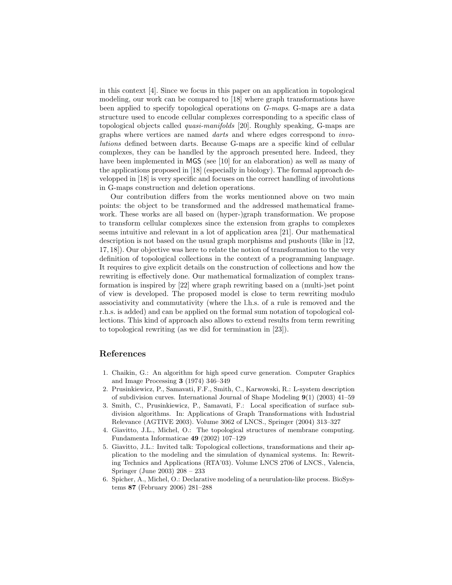in this context [4]. Since we focus in this paper on an application in topological modeling, our work can be compared to [18] where graph transformations have been applied to specify topological operations on G-maps. G-maps are a data structure used to encode cellular complexes corresponding to a specific class of topological objects called quasi-manifolds [20]. Roughly speaking, G-maps are graphs where vertices are named darts and where edges correspond to involutions defined between darts. Because G-maps are a specific kind of cellular complexes, they can be handled by the approach presented here. Indeed, they have been implemented in MGS (see [10] for an elaboration) as well as many of the applications proposed in [18] (especially in biology). The formal approach developped in [18] is very specific and focuses on the correct handling of involutions in G-maps construction and deletion operations.

Our contribution differs from the works mentionned above on two main points: the object to be transformed and the addressed mathematical framework. These works are all based on (hyper-)graph transformation. We propose to transform cellular complexes since the extension from graphs to complexes seems intuitive and relevant in a lot of application area [21]. Our mathematical description is not based on the usual graph morphisms and pushouts (like in [12, 17, 18]). Our objective was here to relate the notion of transformation to the very definition of topological collections in the context of a programming language. It requires to give explicit details on the construction of collections and how the rewriting is effectively done. Our mathematical formalization of complex transformation is inspired by [22] where graph rewriting based on a (multi-)set point of view is developed. The proposed model is close to term rewriting modulo associativity and commutativity (where the l.h.s. of a rule is removed and the r.h.s. is added) and can be applied on the formal sum notation of topological collections. This kind of approach also allows to extend results from term rewriting to topological rewriting (as we did for termination in [23]).

## References

- 1. Chaikin, G.: An algorithm for high speed curve generation. Computer Graphics and Image Processing 3 (1974) 346–349
- 2. Prusinkiewicz, P., Samavati, F.F., Smith, C., Karwowski, R.: L-system description of subdivision curves. International Journal of Shape Modeling  $9(1)$  (2003) 41–59
- 3. Smith, C., Prusinkiewicz, P., Samavati, F.: Local specification of surface subdivision algorithms. In: Applications of Graph Transformations with Industrial Relevance (AGTIVE 2003). Volume 3062 of LNCS., Springer (2004) 313–327
- 4. Giavitto, J.L., Michel, O.: The topological structures of membrane computing. Fundamenta Informaticae 49 (2002) 107–129
- 5. Giavitto, J.L.: Invited talk: Topological collections, transformations and their application to the modeling and the simulation of dynamical systems. In: Rewriting Technics and Applications (RTA'03). Volume LNCS 2706 of LNCS., Valencia, Springer (June 2003) 208 – 233
- 6. Spicher, A., Michel, O.: Declarative modeling of a neurulation-like process. BioSystems 87 (February 2006) 281–288